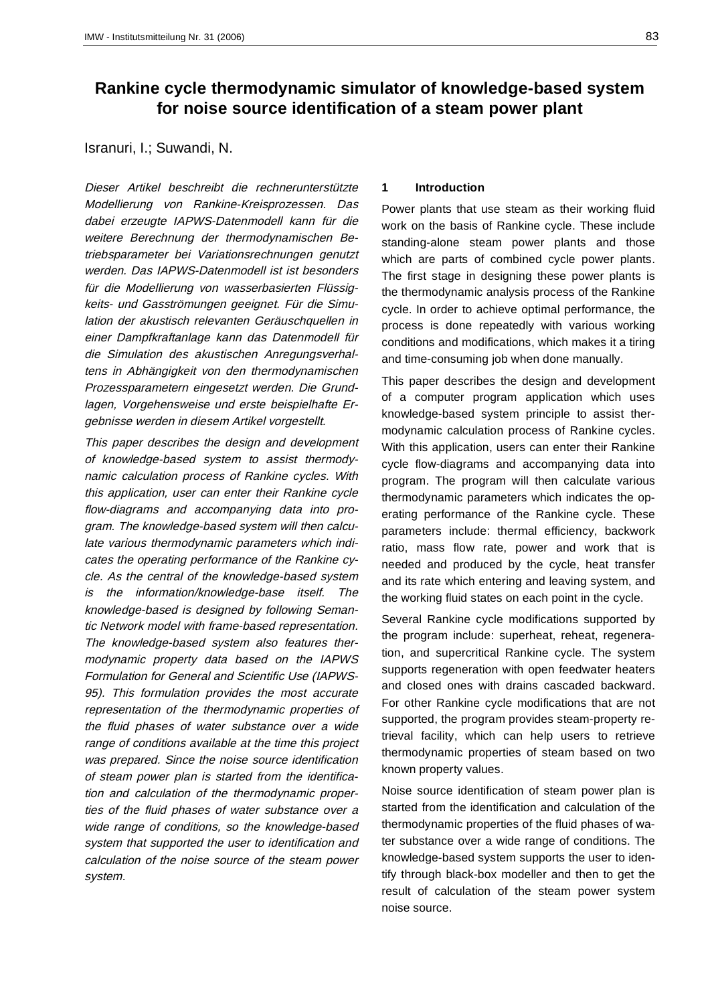# **Rankine cycle thermodynamic simulator of knowledge-based system for noise source identification of a steam power plant**

# Isranuri, I.; Suwandi, N.

Dieser Artikel beschreibt die rechnerunterstützte Modellierung von Rankine-Kreisprozessen. Das dabei erzeugte IAPWS-Datenmodell kann für die weitere Berechnung der thermodynamischen Betriebsparameter bei Variationsrechnungen genutzt werden. Das IAPWS-Datenmodell ist ist besonders für die Modellierung von wasserbasierten Flüssigkeits- und Gasströmungen geeignet. Für die Simulation der akustisch relevanten Geräuschquellen in einer Dampfkraftanlage kann das Datenmodell für die Simulation des akustischen Anregungsverhaltens in Abhängigkeit von den thermodynamischen Prozessparametern eingesetzt werden. Die Grundlagen, Vorgehensweise und erste beispielhafte Ergebnisse werden in diesem Artikel vorgestellt.

This paper describes the design and development of knowledge-based system to assist thermodynamic calculation process of Rankine cycles. With this application, user can enter their Rankine cycle flow-diagrams and accompanying data into program. The knowledge-based system will then calculate various thermodynamic parameters which indicates the operating performance of the Rankine cycle. As the central of the knowledge-based system is the information/knowledge-base itself. The knowledge-based is designed by following Semantic Network model with frame-based representation. The knowledge-based system also features thermodynamic property data based on the IAPWS Formulation for General and Scientific Use (IAPWS-95). This formulation provides the most accurate representation of the thermodynamic properties of the fluid phases of water substance over a wide range of conditions available at the time this project was prepared. Since the noise source identification of steam power plan is started from the identification and calculation of the thermodynamic properties of the fluid phases of water substance over a wide range of conditions, so the knowledge-based system that supported the user to identification and calculation of the noise source of the steam power system.

#### **1 Introduction**

Power plants that use steam as their working fluid work on the basis of Rankine cycle. These include standing-alone steam power plants and those which are parts of combined cycle power plants. The first stage in designing these power plants is the thermodynamic analysis process of the Rankine cycle. In order to achieve optimal performance, the process is done repeatedly with various working conditions and modifications, which makes it a tiring and time-consuming job when done manually.

This paper describes the design and development of a computer program application which uses knowledge-based system principle to assist thermodynamic calculation process of Rankine cycles. With this application, users can enter their Rankine cycle flow-diagrams and accompanying data into program. The program will then calculate various thermodynamic parameters which indicates the operating performance of the Rankine cycle. These parameters include: thermal efficiency, backwork ratio, mass flow rate, power and work that is needed and produced by the cycle, heat transfer and its rate which entering and leaving system, and the working fluid states on each point in the cycle.

Several Rankine cycle modifications supported by the program include: superheat, reheat, regeneration, and supercritical Rankine cycle. The system supports regeneration with open feedwater heaters and closed ones with drains cascaded backward. For other Rankine cycle modifications that are not supported, the program provides steam-property retrieval facility, which can help users to retrieve thermodynamic properties of steam based on two known property values.

Noise source identification of steam power plan is started from the identification and calculation of the thermodynamic properties of the fluid phases of water substance over a wide range of conditions. The knowledge-based system supports the user to identify through black-box modeller and then to get the result of calculation of the steam power system noise source.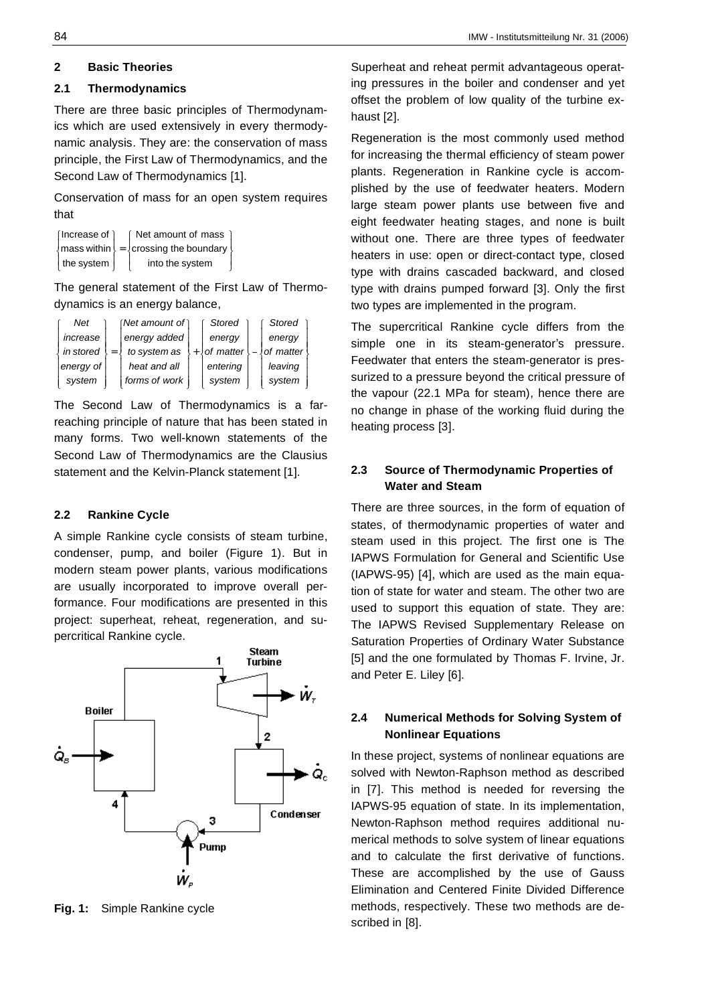# **2 Basic Theories**

# **2.1 Thermodynamics**

There are three basic principles of Thermodynamics which are used extensively in every thermodynamic analysis. They are: the conservation of mass principle, the First Law of Thermodynamics, and the Second Law of Thermodynamics [1].

Conservation of mass for an open system requires that

| (Increase of)      | [ Net amount of mass                                    |  |
|--------------------|---------------------------------------------------------|--|
|                    | $\{$ mass within $\}$ = $\{$ crossing the boundary $\}$ |  |
| the system $\vert$ | into the system                                         |  |

The general statement of the First Law of Thermodynamics is an energy balance,

| Net       | $(Net$ amount of $)$ | Stored      | Stored    |  |
|-----------|----------------------|-------------|-----------|--|
| increase  | energy added         | energy      | energy    |  |
| in stored | to system as         | of matter ! | of matter |  |
| energy of | heat and all         | entering    | leaving   |  |
| system    | forms of work        | system      | system    |  |

The Second Law of Thermodynamics is a farreaching principle of nature that has been stated in many forms. Two well-known statements of the Second Law of Thermodynamics are the Clausius statement and the Kelvin-Planck statement [1].

# **2.2 Rankine Cycle**

A simple Rankine cycle consists of steam turbine, condenser, pump, and boiler (Figure 1). But in modern steam power plants, various modifications are usually incorporated to improve overall performance. Four modifications are presented in this project: superheat, reheat, regeneration, and supercritical Rankine cycle.



**Fig. 1:** Simple Rankine cycle

Superheat and reheat permit advantageous operating pressures in the boiler and condenser and yet offset the problem of low quality of the turbine exhaust [2].

Regeneration is the most commonly used method for increasing the thermal efficiency of steam power plants. Regeneration in Rankine cycle is accomplished by the use of feedwater heaters. Modern large steam power plants use between five and eight feedwater heating stages, and none is built without one. There are three types of feedwater heaters in use: open or direct-contact type, closed type with drains cascaded backward, and closed type with drains pumped forward [3]. Only the first two types are implemented in the program.

The supercritical Rankine cycle differs from the simple one in its steam-generator's pressure. Feedwater that enters the steam-generator is pressurized to a pressure beyond the critical pressure of the vapour (22.1 MPa for steam), hence there are no change in phase of the working fluid during the heating process [3].

# **2.3 Source of Thermodynamic Properties of Water and Steam**

There are three sources, in the form of equation of states, of thermodynamic properties of water and steam used in this project. The first one is The IAPWS Formulation for General and Scientific Use (IAPWS-95) [4], which are used as the main equation of state for water and steam. The other two are used to support this equation of state. They are: The IAPWS Revised Supplementary Release on Saturation Properties of Ordinary Water Substance [5] and the one formulated by Thomas F. Irvine, Jr. and Peter E. Liley [6].

# **2.4 Numerical Methods for Solving System of Nonlinear Equations**

In these project, systems of nonlinear equations are solved with Newton-Raphson method as described in [7]. This method is needed for reversing the IAPWS-95 equation of state. In its implementation, Newton-Raphson method requires additional numerical methods to solve system of linear equations and to calculate the first derivative of functions. These are accomplished by the use of Gauss Elimination and Centered Finite Divided Difference methods, respectively. These two methods are described in [8].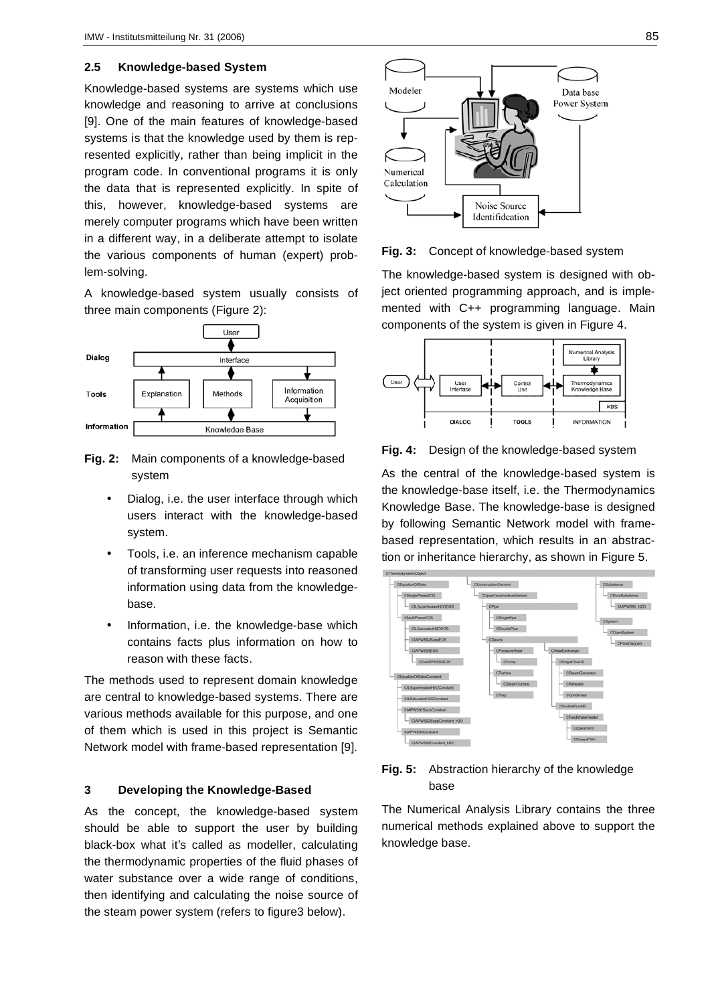#### **2.5 Knowledge-based System**

Knowledge-based systems are systems which use knowledge and reasoning to arrive at conclusions [9]. One of the main features of knowledge-based systems is that the knowledge used by them is represented explicitly, rather than being implicit in the program code. In conventional programs it is only the data that is represented explicitly. In spite of this, however, knowledge-based systems are merely computer programs which have been written in a different way, in a deliberate attempt to isolate the various components of human (expert) problem-solving.

A knowledge-based system usually consists of three main components (Figure 2):



- **Fig. 2:** Main components of a knowledge-based system
	- Dialog, i.e. the user interface through which users interact with the knowledge-based system.
	- Tools, i.e. an inference mechanism capable of transforming user requests into reasoned information using data from the knowledgebase.
	- Information, i.e. the knowledge-base which contains facts plus information on how to reason with these facts.

The methods used to represent domain knowledge are central to knowledge-based systems. There are various methods available for this purpose, and one of them which is used in this project is Semantic Network model with frame-based representation [9].

### **3 Developing the Knowledge-Based**

As the concept, the knowledge-based system should be able to support the user by building black-box what it's called as modeller, calculating the thermodynamic properties of the fluid phases of water substance over a wide range of conditions, then identifying and calculating the noise source of the steam power system (refers to figure3 below).



**Fig. 3:** Concept of knowledge-based system

The knowledge-based system is designed with object oriented programming approach, and is implemented with C++ programming language. Main components of the system is given in Figure 4.



**Fig. 4:** Design of the knowledge-based system

As the central of the knowledge-based system is the knowledge-base itself, i.e. the Thermodynamics Knowledge Base. The knowledge-base is designed by following Semantic Network model with framebased representation, which results in an abstraction or inheritance hierarchy, as shown in Figure 5.



#### **Fig. 5:** Abstraction hierarchy of the knowledge base

The Numerical Analysis Library contains the three numerical methods explained above to support the knowledge base.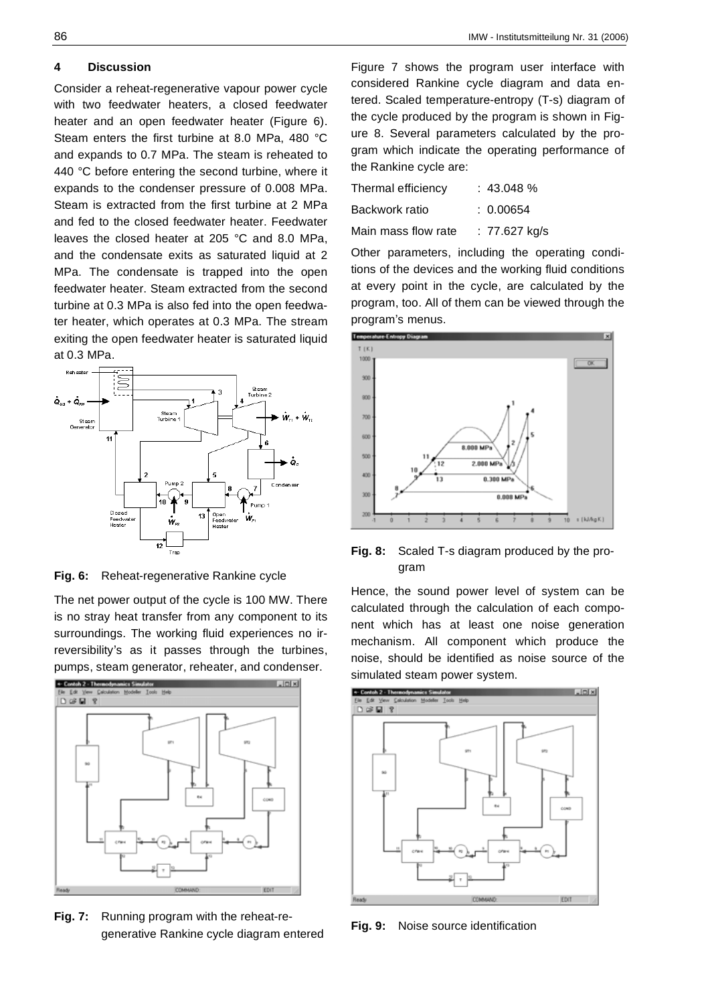#### **4 Discussion**

Consider a reheat-regenerative vapour power cycle with two feedwater heaters, a closed feedwater heater and an open feedwater heater (Figure 6). Steam enters the first turbine at 8.0 MPa, 480 °C and expands to 0.7 MPa. The steam is reheated to 440 °C before entering the second turbine, where it expands to the condenser pressure of 0.008 MPa. Steam is extracted from the first turbine at 2 MPa and fed to the closed feedwater heater. Feedwater leaves the closed heater at 205 °C and 8.0 MPa, and the condensate exits as saturated liquid at 2 MPa. The condensate is trapped into the open feedwater heater. Steam extracted from the second turbine at 0.3 MPa is also fed into the open feedwater heater, which operates at 0.3 MPa. The stream exiting the open feedwater heater is saturated liquid at 0.3 MPa.



**Fig. 6:** Reheat-regenerative Rankine cycle

The net power output of the cycle is 100 MW. There is no stray heat transfer from any component to its surroundings. The working fluid experiences no irreversibility's as it passes through the turbines, pumps, steam generator, reheater, and condenser.



**Fig. 7:** Running program with the reheat-regenerative Rankine cycle diagram entered

| Thermal efficiency  | : 43.048%     |
|---------------------|---------------|
| Backwork ratio      | : 0.00654     |
| Main mass flow rate | : 77.627 kg/s |

Other parameters, including the operating conditions of the devices and the working fluid conditions at every point in the cycle, are calculated by the program, too. All of them can be viewed through the program's menus.



**Fig. 8:** Scaled T-s diagram produced by the program

Hence, the sound power level of system can be calculated through the calculation of each component which has at least one noise generation mechanism. All component which produce the noise, should be identified as noise source of the simulated steam power system.



**Fig. 9:** Noise source identification